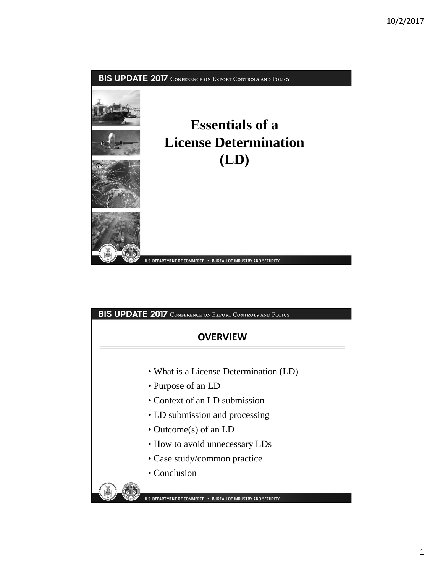

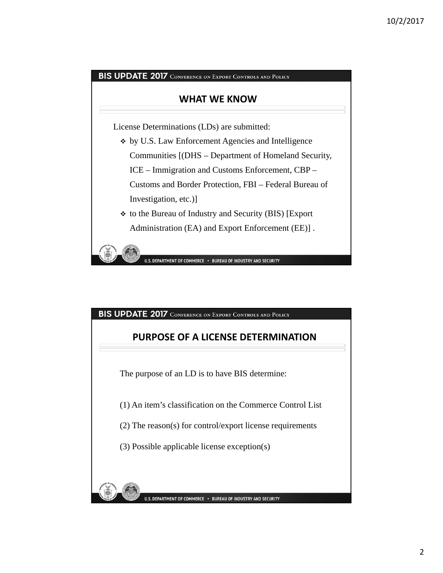## **WHAT WE KNOW**

License Determinations (LDs) are submitted:

- by U.S. Law Enforcement Agencies and Intelligence Communities [(DHS – Department of Homeland Security, ICE – Immigration and Customs Enforcement, CBP – Customs and Border Protection, FBI – Federal Bureau of Investigation, etc.)]
- to the Bureau of Industry and Security (BIS) [Export Administration (EA) and Export Enforcement (EE)] .

U.S. DEPARTMENT OF COMMERCE . BUREAU OF INDUSTRY AND SECURITY

BIS UPDATE 2017 CONFERENCE ON EXPORT CONTROLS AND POLICY

## **PURPOSE OF A LICENSE DETERMINATION**

The purpose of an LD is to have BIS determine:

(1) An item's classification on the Commerce Control List

(2) The reason(s) for control/export license requirements

(3) Possible applicable license exception(s)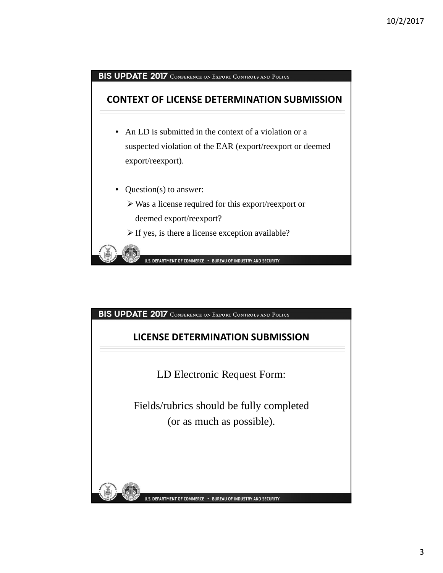

# **LICENSE DETERMINATION SUBMISSION**

LD Electronic Request Form:

Fields/rubrics should be fully completed (or as much as possible).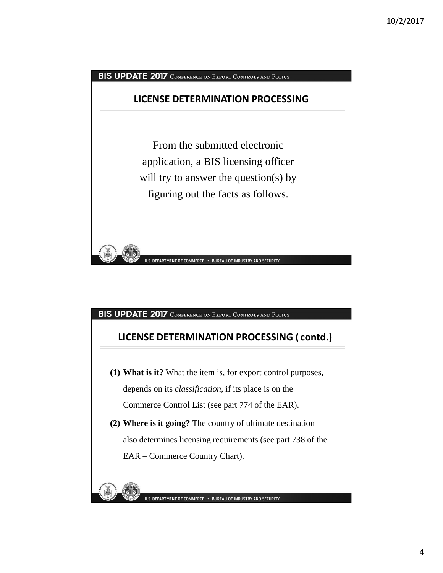

# **LICENSE DETERMINATION PROCESSING ( contd.)**

- **(1) What is it?** What the item is, for export control purposes, depends on its *classification*, if its place is on the Commerce Control List (see part 774 of the EAR).
- **(2) Where is it going?** The country of ultimate destination also determines licensing requirements (see part 738 of the EAR – Commerce Country Chart).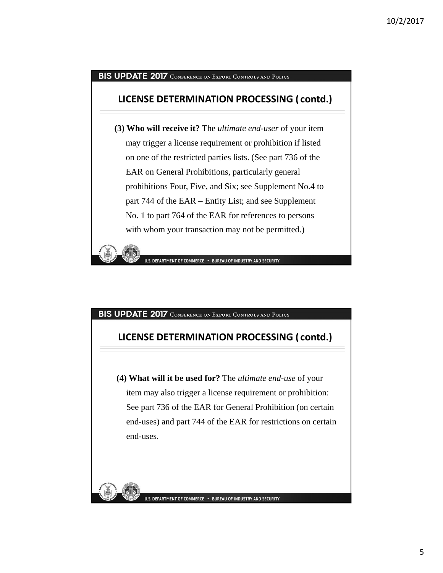## **LICENSE DETERMINATION PROCESSING ( contd.)**

**(3) Who will receive it?** The *ultimate end-user* of your item may trigger a license requirement or prohibition if listed on one of the restricted parties lists. (See part 736 of the EAR on General Prohibitions, particularly general prohibitions Four, Five, and Six; see Supplement No.4 to part 744 of the EAR – Entity List; and see Supplement No. 1 to part 764 of the EAR for references to persons with whom your transaction may not be permitted.)

U.S. DEPARTMENT OF COMMERCE . BUREAU OF INDUSTRY AND SECURITY

#### BIS UPDATE 2017 CONFERENCE ON EXPORT CONTROLS AND POLICY

## **LICENSE DETERMINATION PROCESSING ( contd.)**

**(4) What will it be used for?** The *ultimate end-use* of your item may also trigger a license requirement or prohibition: See part 736 of the EAR for General Prohibition (on certain end-uses) and part 744 of the EAR for restrictions on certain end-uses.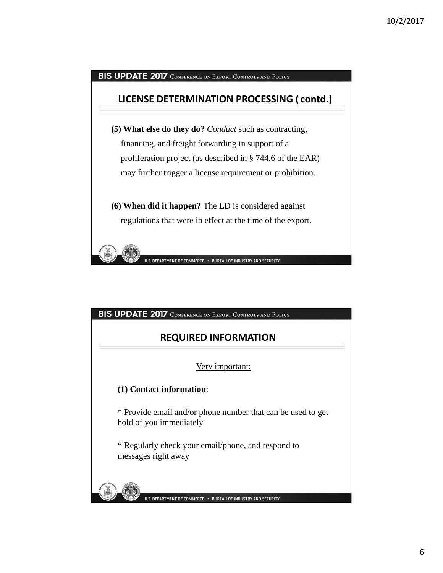# BIS UPDATE 2017 CONFERENCE ON EXPORT CONTROLS AND POLICY **LICENSE DETERMINATION PROCESSING ( contd.) (5) What else do they do?** *Conduct* such as contracting, financing, and freight forwarding in support of a proliferation project (as described in § 744.6 of the EAR) may further trigger a license requirement or prohibition. **(6) When did it happen?** The LD is considered against regulations that were in effect at the time of the export. U.S. DEPARTMENT OF COMMERCE · BUREAU OF INDUSTRY AND SECURITY

#### BIS UPDATE 2017 CONFERENCE ON EXPORT CONTROLS AND POLICY

## **REQUIRED INFORMATION**

Very important:

#### **(1) Contact information**:

\* Provide email and/or phone number that can be used to get hold of you immediately

\* Regularly check your email/phone, and respond to messages right away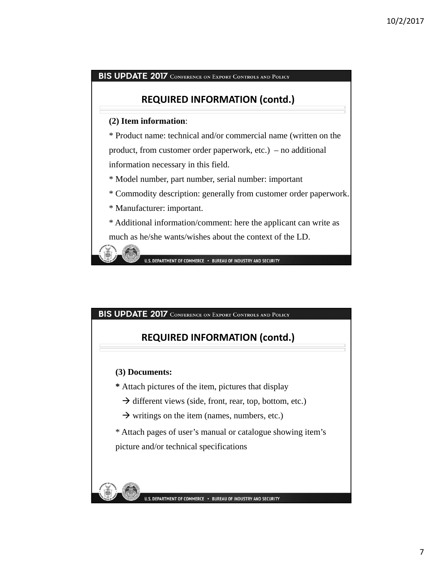## **REQUIRED INFORMATION (contd.)**

#### **(2) Item information**:

\* Product name: technical and/or commercial name (written on the product, from customer order paperwork, etc.) – no additional information necessary in this field.

\* Model number, part number, serial number: important

\* Commodity description: generally from customer order paperwork.

\* Manufacturer: important.

\* Additional information/comment: here the applicant can write as much as he/she wants/wishes about the context of the LD.

U.S. DEPARTMENT OF COMMERCE . BUREAU OF INDUSTRY AND SECURITY

BIS UPDATE 2017 CONFERENCE ON EXPORT CONTROLS AND POLICY

## **REQUIRED INFORMATION (contd.)**

**(3) Documents:** 

**\*** Attach pictures of the item, pictures that display

 $\rightarrow$  different views (side, front, rear, top, bottom, etc.)

 $\rightarrow$  writings on the item (names, numbers, etc.)

\* Attach pages of user's manual or catalogue showing item's picture and/or technical specifications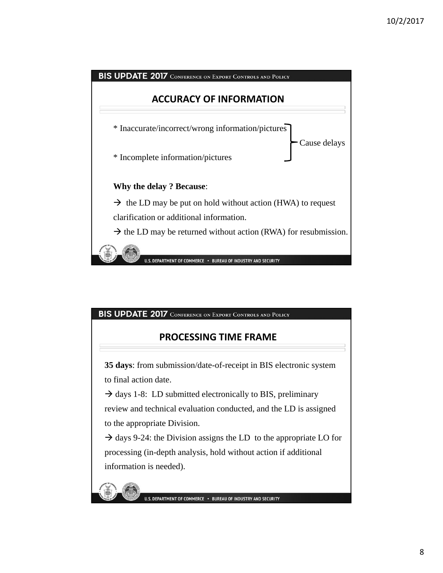

# **PROCESSING TIME FRAME**

**35 days**: from submission/date-of-receipt in BIS electronic system to final action date.

 $\rightarrow$  days 1-8: LD submitted electronically to BIS, preliminary review and technical evaluation conducted, and the LD is assigned to the appropriate Division.

 $\rightarrow$  days 9-24: the Division assigns the LD to the appropriate LO for processing (in-depth analysis, hold without action if additional information is needed).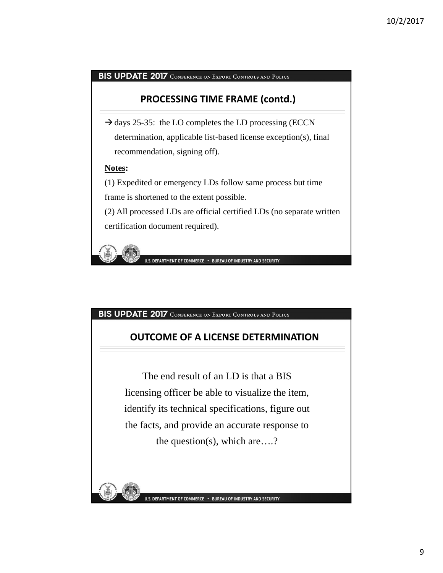## **PROCESSING TIME FRAME (contd.)**

 $\rightarrow$  days 25-35: the LO completes the LD processing (ECCN) determination, applicable list-based license exception(s), final recommendation, signing off).

#### **Notes:**

(1) Expedited or emergency LDs follow same process but time frame is shortened to the extent possible.

(2) All processed LDs are official certified LDs (no separate written certification document required).

U.S. DEPARTMENT OF COMMERCE . BUREAU OF INDUSTRY AND SECURITY

BIS UPDATE 2017 CONFERENCE ON EXPORT CONTROLS AND POLICY

## **OUTCOME OF A LICENSE DETERMINATION**

The end result of an LD is that a BIS licensing officer be able to visualize the item, identify its technical specifications, figure out the facts, and provide an accurate response to the question(s), which are….?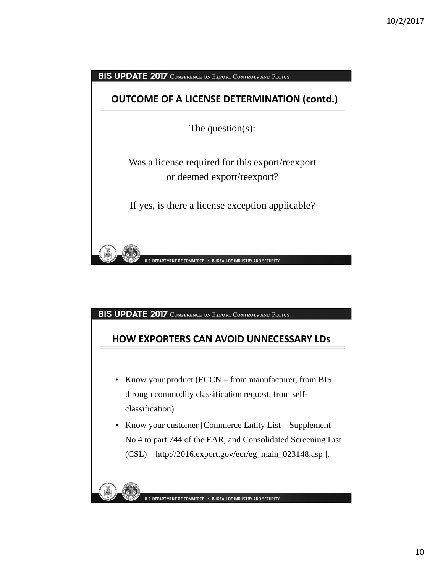

## **HOW EXPORTERS CAN AVOID UNNECESSARY LDs**

- Know your product (ECCN from manufacturer, from BIS through commodity classification request, from selfclassification).
- Know your customer [Commerce Entity List Supplement No.4 to part 744 of the EAR, and Consolidated Screening List (CSL) – http://2016.export.gov/ecr/eg\_main\_023148.asp ].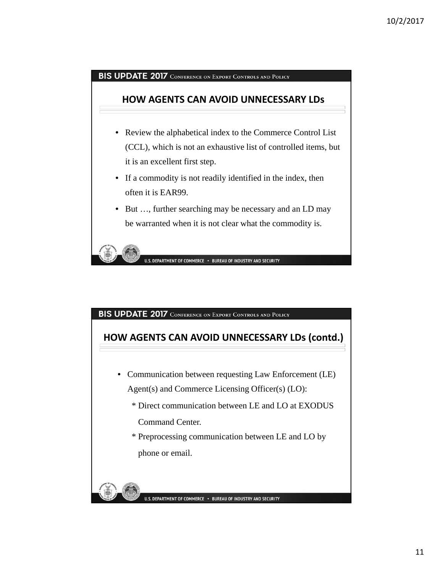## **HOW AGENTS CAN AVOID UNNECESSARY LDs**

- Review the alphabetical index to the Commerce Control List (CCL), which is not an exhaustive list of controlled items, but it is an excellent first step.
- If a commodity is not readily identified in the index, then often it is EAR99.
- But ..., further searching may be necessary and an LD may be warranted when it is not clear what the commodity is.



#### BIS UPDATE 2017 CONFERENCE ON EXPORT CONTROLS AND POLICY

# **HOW AGENTS CAN AVOID UNNECESSARY LDs (contd.)**

- Communication between requesting Law Enforcement (LE) Agent(s) and Commerce Licensing Officer(s) (LO):
	- \* Direct communication between LE and LO at EXODUS

Command Center.

\* Preprocessing communication between LE and LO by phone or email.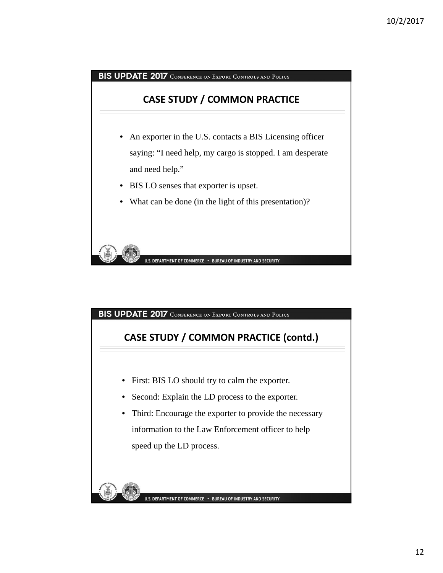



# **CASE STUDY / COMMON PRACTICE (contd.)**

- First: BIS LO should try to calm the exporter.
- Second: Explain the LD process to the exporter.
- Third: Encourage the exporter to provide the necessary information to the Law Enforcement officer to help speed up the LD process.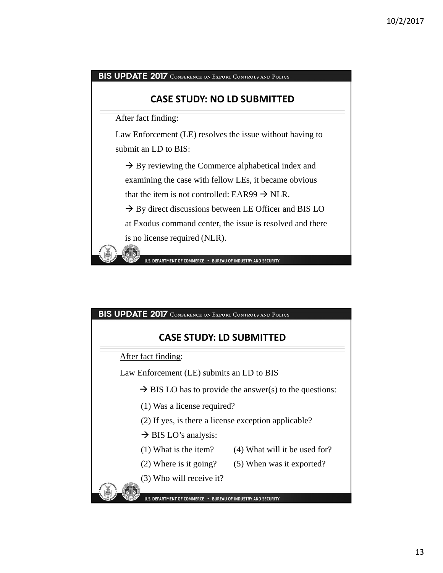## **CASE STUDY: NO LD SUBMITTED**

After fact finding:

Law Enforcement (LE) resolves the issue without having to submit an LD to BIS:

 $\rightarrow$  By reviewing the Commerce alphabetical index and examining the case with fellow LEs, it became obvious that the item is not controlled: EAR99  $\rightarrow$  NLR.

 $\rightarrow$  By direct discussions between LE Officer and BIS LO at Exodus command center, the issue is resolved and there

is no license required (NLR).

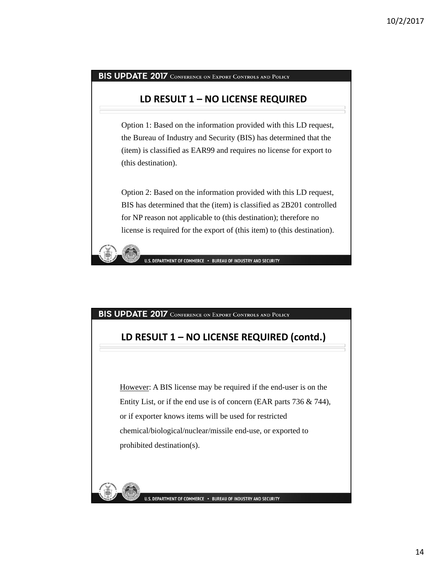## **LD RESULT 1 – NO LICENSE REQUIRED**

Option 1: Based on the information provided with this LD request, the Bureau of Industry and Security (BIS) has determined that the (item) is classified as EAR99 and requires no license for export to (this destination).

Option 2: Based on the information provided with this LD request, BIS has determined that the (item) is classified as 2B201 controlled for NP reason not applicable to (this destination); therefore no license is required for the export of (this item) to (this destination).



#### BIS UPDATE 2017 CONFERENCE ON EXPORT CONTROLS AND POLICY

## **LD RESULT 1 – NO LICENSE REQUIRED (contd.)**

However: A BIS license may be required if the end-user is on the Entity List, or if the end use is of concern (EAR parts 736 & 744), or if exporter knows items will be used for restricted chemical/biological/nuclear/missile end-use, or exported to prohibited destination(s).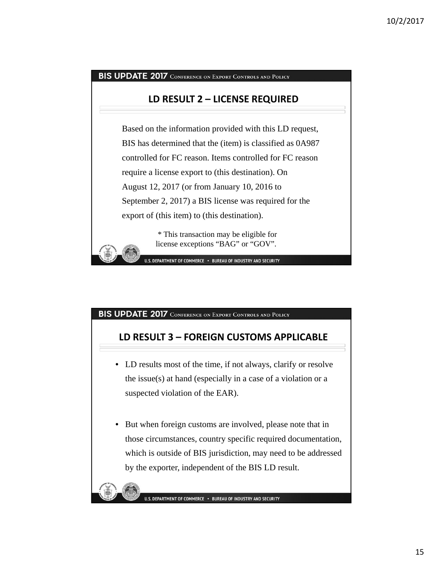#### **LD RESULT 2 – LICENSE REQUIRED**

Based on the information provided with this LD request, BIS has determined that the (item) is classified as 0A987 controlled for FC reason. Items controlled for FC reason require a license export to (this destination). On August 12, 2017 (or from January 10, 2016 to September 2, 2017) a BIS license was required for the export of (this item) to (this destination).

> \* This transaction may be eligible for license exceptions "BAG" or "GOV".

U.S. DEPARTMENT OF COMMERCE . BUREAU OF INDUSTRY AND SECURITY

#### BIS UPDATE 2017 CONFERENCE ON EXPORT CONTROLS AND POLICY

## **LD RESULT 3 – FOREIGN CUSTOMS APPLICABLE**

- LD results most of the time, if not always, clarify or resolve the issue(s) at hand (especially in a case of a violation or a suspected violation of the EAR).
- But when foreign customs are involved, please note that in those circumstances, country specific required documentation, which is outside of BIS jurisdiction, may need to be addressed by the exporter, independent of the BIS LD result.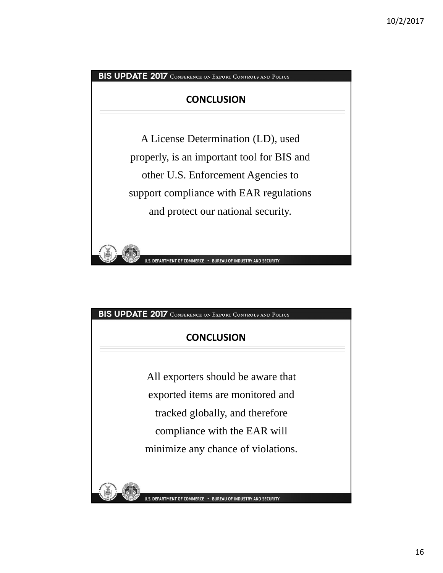

| <b>BIS UPDATE 2017</b> CONFERENCE ON EXPORT CONTROLS AND POLICY |  |  |  |
|-----------------------------------------------------------------|--|--|--|
|-----------------------------------------------------------------|--|--|--|

# **CONCLUSION**

All exporters should be aware that exported items are monitored and tracked globally, and therefore compliance with the EAR will minimize any chance of violations.